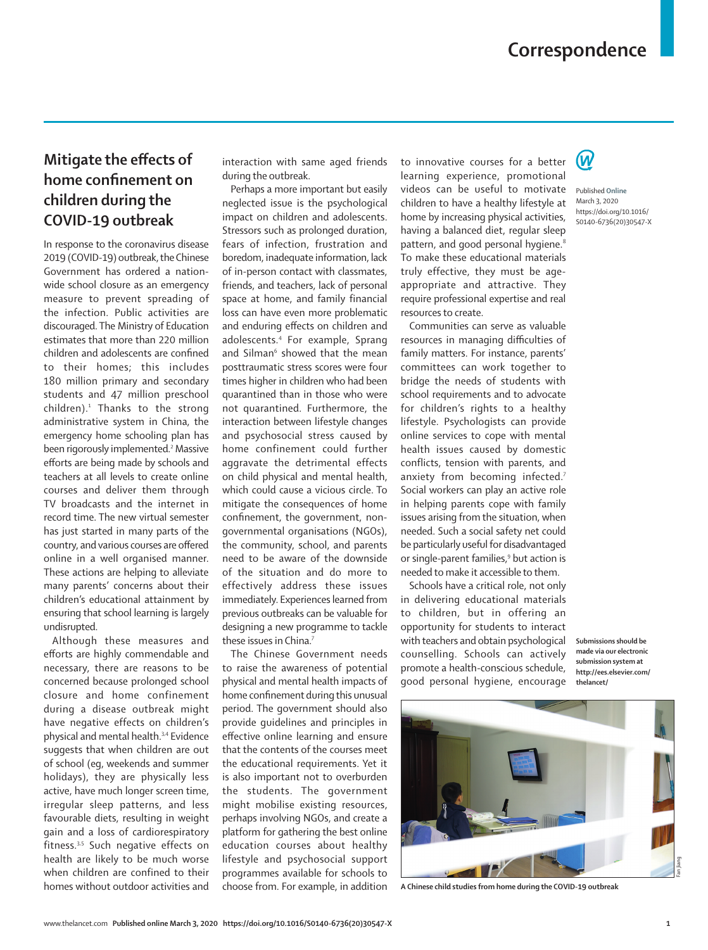## **Mitigate the effects of home confinement on children during the COVID-19 outbreak**

In response to the coronavirus disease 2019 (COVID-19) outbreak, the Chinese Government has ordered a nationwide school closure as an emergency measure to prevent spreading of the infection. Public activities are discouraged. The Ministry of Education estimates that more than 220 million children and adolescents are confined to their homes; this includes 180 million primary and secondary students and 47 million preschool children).<sup>1</sup> Thanks to the strong administrative system in China, the emergency home schooling plan has been rigorously implemented.<sup>2</sup> Massive efforts are being made by schools and teachers at all levels to create online courses and deliver them through TV broadcasts and the internet in record time. The new virtual semester has just started in many parts of the country, and various courses are offered online in a well organised manner. These actions are helping to alleviate many parents' concerns about their children's educational attainment by ensuring that school learning is largely undisrupted.

Although these measures and efforts are highly commendable and necessary, there are reasons to be concerned because prolonged school closure and home confinement during a disease outbreak might have negative effects on children's physical and mental health.3,4 Evidence suggests that when children are out of school (eg, weekends and summer holidays), they are physically less active, have much longer screen time, irregular sleep patterns, and less favourable diets, resulting in weight gain and a loss of cardiorespiratory fitness.<sup>3,5</sup> Such negative effects on health are likely to be much worse when children are confined to their homes without outdoor activities and interaction with same aged friends during the outbreak.

Perhaps a more important but easily neglected issue is the psychological impact on children and adolescents. Stressors such as prolonged duration, fears of infection, frustration and boredom, inadequate information, lack of in-person contact with classmates, friends, and teachers, lack of personal space at home, and family financial loss can have even more problematic and enduring effects on children and adolescents.4 For example, Sprang and Silman<sup>6</sup> showed that the mean posttraumatic stress scores were four times higher in children who had been quarantined than in those who were not quarantined. Furthermore, the interaction between lifestyle changes and psychosocial stress caused by home confinement could further aggravate the detrimental effects on child physical and mental health, which could cause a vicious circle. To mitigate the consequences of home confinement, the government, nongovernmental organisations (NGOs), the community, school, and parents need to be aware of the downside of the situation and do more to effectively address these issues immediately. Experiences learned from previous outbreaks can be valuable for designing a new programme to tackle these issues in China.<sup>7</sup>

The Chinese Government needs to raise the awareness of potential physical and mental health impacts of home confinement during this unusual period. The government should also provide guidelines and principles in effective online learning and ensure that the contents of the courses meet the educational requirements. Yet it is also important not to overburden the students. The government might mobilise existing resources, perhaps involving NGOs, and create a platform for gathering the best online education courses about healthy lifestyle and psychosocial support programmes available for schools to choose from. For example, in addition

to innovative courses for a better learning experience, promotional videos can be useful to motivate children to have a healthy lifestyle at home by increasing physical activities, having a balanced diet, regular sleep pattern, and good personal hygiene.<sup>8</sup> To make these educational materials truly effective, they must be ageappropriate and attractive. They require professional expertise and real resources to create.

Communities can serve as valuable resources in managing difficulties of family matters. For instance, parents' committees can work together to bridge the needs of students with school requirements and to advocate for children's rights to a healthy lifestyle. Psychologists can provide online services to cope with mental health issues caused by domestic conflicts, tension with parents, and anxiety from becoming infected.<sup>7</sup> Social workers can play an active role in helping parents cope with family issues arising from the situation, when needed. Such a social safety net could be particularly useful for disadvantaged or single-parent families,<sup>9</sup> but action is needed to make it accessible to them.

Schools have a critical role, not only in delivering educational materials to children, but in offering an opportunity for students to interact with teachers and obtain psychological counselling. Schools can actively promote a health-conscious schedule, good personal hygiene, encourage

**Submissions should be made via our electronic submission system at http://ees.elsevier.com/ thelancet/**



**A Chinese child studies from home during the COVID-19 outbreak**



Published **Online** March 3, 2020 https://doi.org/10.1016/ S0140-6736(20)30547-X